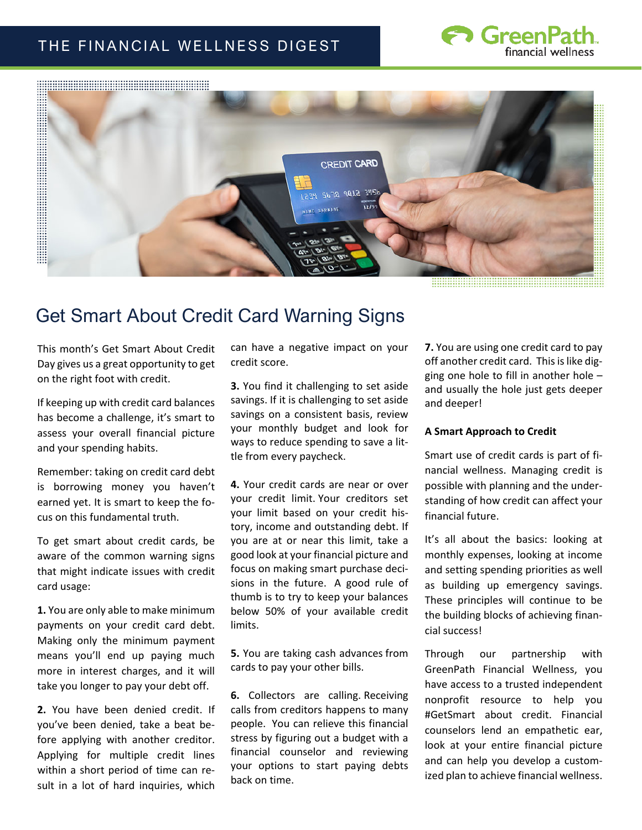## THE FINANCIAL WELLNESS DIGEST





## Get Smart About Credit Card Warning Signs

This month's Get Smart About Credit Day gives us a great opportunity to get on the right foot with credit.

If keeping up with credit card balances has become a challenge, it's smart to assess your overall financial picture and your spending habits.

Remember: taking on credit card debt is borrowing money you haven't earned yet. It is smart to keep the focus on this fundamental truth.

To get smart about credit cards, be aware of the common warning signs that might indicate issues with credit card usage:

**1.** You are only able to make minimum payments on your credit card debt. Making only the minimum payment means you'll end up paying much more in interest charges, and it will take you longer to pay your debt off.

**2.** You have been denied credit. If you've been denied, take a beat before applying with another creditor. Applying for multiple credit lines within a short period of time can result in a lot of hard inquiries, which can have a negative impact on your credit score.

**3.** You find it challenging to set aside savings. If it is challenging to set aside savings on a consistent basis, review your monthly budget and look for ways to reduce spending to save a little from every paycheck.

**4.** Your credit cards are near or over your credit limit. Your creditors set your limit based on your credit history, income and outstanding debt. If you are at or near this limit, take a good look at your financial picture and focus on making smart purchase decisions in the future. A good rule of thumb is to try to keep your balances below 50% of your available credit limits.

**5.** You are taking cash advances from cards to pay your other bills.

**6.** Collectors are calling. Receiving calls from creditors happens to many people. You can relieve this financial stress by figuring out a budget with a financial counselor and reviewing your options to start paying debts back on time.

**7.** You are using one credit card to pay off another credit card. This is like digging one hole to fill in another hole – and usually the hole just gets deeper and deeper!

## **A Smart Approach to Credit**

Smart use of credit cards is part of financial wellness. Managing credit is possible with planning and the understanding of how credit can affect your financial future.

It's all about the basics: looking at monthly expenses, looking at income and setting spending priorities as well as building up emergency savings. These principles will continue to be the building blocks of achieving financial success!

Through our partnership with GreenPath Financial Wellness, you have access to a trusted independent nonprofit resource to help you #GetSmart about credit. Financial counselors lend an empathetic ear, look at your entire financial picture and can help you develop a customized plan to achieve financial wellness.